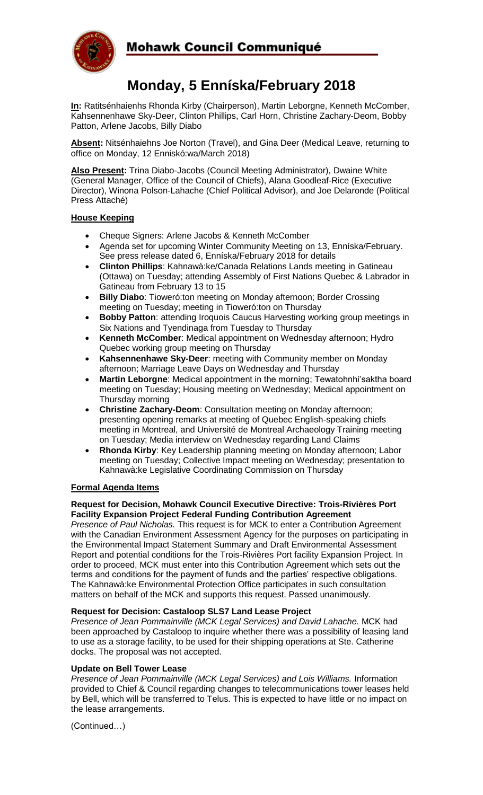

## Mohawk Council Communiqué

# **Monday, 5 Enníska/February 2018**

**In:** Ratitsénhaienhs Rhonda Kirby (Chairperson), Martin Leborgne, Kenneth McComber, Kahsennenhawe Sky-Deer, Clinton Phillips, Carl Horn, Christine Zachary-Deom, Bobby Patton, Arlene Jacobs, Billy Diabo

**Absent:** Nitsénhaiehns Joe Norton (Travel), and Gina Deer (Medical Leave, returning to office on Monday, 12 Enniskó:wa/March 2018)

**Also Present:** Trina Diabo-Jacobs (Council Meeting Administrator), Dwaine White (General Manager, Office of the Council of Chiefs), Alana Goodleaf-Rice (Executive Director), Winona Polson-Lahache (Chief Political Advisor), and Joe Delaronde (Political Press Attaché)

#### **House Keeping**

- Cheque Signers: Arlene Jacobs & Kenneth McComber
- Agenda set for upcoming Winter Community Meeting on 13, Enníska/February. See press release dated 6, Enníska/February 2018 for details
- **Clinton Phillips**: Kahnawà:ke/Canada Relations Lands meeting in Gatineau (Ottawa) on Tuesday; attending Assembly of First Nations Quebec & Labrador in Gatineau from February 13 to 15
- **Billy Diabo**: Tioweró:ton meeting on Monday afternoon; Border Crossing meeting on Tuesday; meeting in Tioweró:ton on Thursday
- **Bobby Patton**: attending Iroquois Caucus Harvesting working group meetings in Six Nations and Tyendinaga from Tuesday to Thursday
- **Kenneth McComber**: Medical appointment on Wednesday afternoon; Hydro Quebec working group meeting on Thursday
- **Kahsennenhawe Sky-Deer**: meeting with Community member on Monday afternoon; Marriage Leave Days on Wednesday and Thursday
- **Martin Leborgne**: Medical appointment in the morning; Tewatohnhi'saktha board meeting on Tuesday; Housing meeting on Wednesday; Medical appointment on Thursday morning
- **Christine Zachary-Deom**: Consultation meeting on Monday afternoon; presenting opening remarks at meeting of Quebec English-speaking chiefs meeting in Montreal, and Université de Montreal Archaeology Training meeting on Tuesday; Media interview on Wednesday regarding Land Claims
- **Rhonda Kirby**: Key Leadership planning meeting on Monday afternoon; Labor meeting on Tuesday; Collective Impact meeting on Wednesday; presentation to Kahnawà:ke Legislative Coordinating Commission on Thursday

### **Formal Agenda Items**

#### **Request for Decision, Mohawk Council Executive Directive: Trois-Rivières Port Facility Expansion Project Federal Funding Contribution Agreement**

*Presence of Paul Nicholas.* This request is for MCK to enter a Contribution Agreement with the Canadian Environment Assessment Agency for the purposes on participating in the Environmental Impact Statement Summary and Draft Environmental Assessment Report and potential conditions for the Trois-Rivières Port facility Expansion Project. In order to proceed, MCK must enter into this Contribution Agreement which sets out the terms and conditions for the payment of funds and the parties' respective obligations. The Kahnawà:ke Environmental Protection Office participates in such consultation matters on behalf of the MCK and supports this request. Passed unanimously.

#### **Request for Decision: Castaloop SLS7 Land Lease Project**

*Presence of Jean Pommainville (MCK Legal Services) and David Lahache.* MCK had been approached by Castaloop to inquire whether there was a possibility of leasing land to use as a storage facility, to be used for their shipping operations at Ste. Catherine docks. The proposal was not accepted.

#### **Update on Bell Tower Lease**

*Presence of Jean Pommainville (MCK Legal Services) and Lois Williams.* Information provided to Chief & Council regarding changes to telecommunications tower leases held by Bell, which will be transferred to Telus. This is expected to have little or no impact on the lease arrangements.

(Continued…)